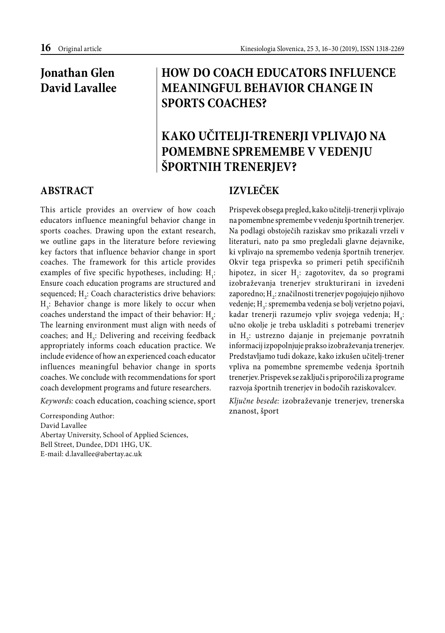# **Jonathan Glen David Lavallee**

# **HOW DO COACH EDUCATORS INFLUENCE MEANINGFUL BEHAVIOR CHANGE IN SPORTS COACHES?**

# **KAKO UČITELJI-TRENERJI VPLIVAJO NA POMEMBNE SPREMEMBE V VEDENJU ŠPORTNIH TRENERJEV?**

#### **ABSTRACT**

This article provides an overview of how coach educators influence meaningful behavior change in sports coaches. Drawing upon the extant research, we outline gaps in the literature before reviewing key factors that influence behavior change in sport coaches. The framework for this article provides examples of five specific hypotheses, including:  $H_1$ : Ensure coach education programs are structured and sequenced;  $H_2$ : Coach characteristics drive behaviors:  $\rm H_{3}:$  Behavior change is more likely to occur when coaches understand the impact of their behavior:  $H_4$ : The learning environment must align with needs of coaches; and  $H_s$ : Delivering and receiving feedback appropriately informs coach education practice. We include evidence of how an experienced coach educator influences meaningful behavior change in sports coaches. We conclude with recommendations for sport coach development programs and future researchers.

*Keywords:* coach education, coaching science, sport

Corresponding Author: David Lavallee Abertay University, School of Applied Sciences, Bell Street, Dundee, DD1 1HG, UK. E-mail: d.lavallee@abertay.ac.uk

## **IZVLEČEK**

Prispevek obsega pregled, kako učitelji-trenerji vplivajo na pomembne spremembe v vedenju športnih trenerjev. Na podlagi obstoječih raziskav smo prikazali vrzeli v literaturi, nato pa smo pregledali glavne dejavnike, ki vplivajo na spremembo vedenja športnih trenerjev. Okvir tega prispevka so primeri petih specifičnih hipotez, in sicer  $H_1$ : zagotovitev, da so programi izobraževanja trenerjev strukturirani in izvedeni zaporedno; H<sub>2</sub>: značilnosti trenerjev pogojujejo njihovo vedenje;  $\mathrm{H}_{\mathfrak{z}}$ : sprememba vedenja se bolj verjetno pojavi, kadar trenerji razumejo vpliv svojega vedenja;  $H_4$ : učno okolje je treba uskladiti s potrebami trenerjev  $\mathbf{H}_{5}$ : ustrezno dajanje in prejemanje povratnih informacij izpopolnjuje prakso izobraževanja trenerjev. Predstavljamo tudi dokaze, kako izkušen učitelj-trener vpliva na pomembne spremembe vedenja športnih trenerjev. Prispevek se zaključi s priporočili za programe razvoja športnih trenerjev in bodočih raziskovalcev.

*Ključne besede:* izobraževanje trenerjev, trenerska znanost, šport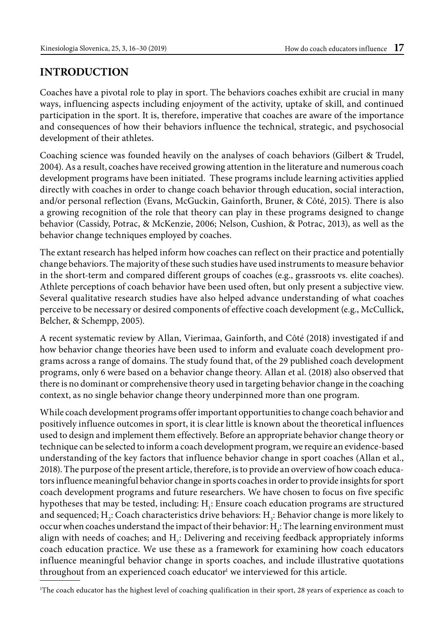## **INTRODUCTION**

Coaches have a pivotal role to play in sport. The behaviors coaches exhibit are crucial in many ways, influencing aspects including enjoyment of the activity, uptake of skill, and continued participation in the sport. It is, therefore, imperative that coaches are aware of the importance and consequences of how their behaviors influence the technical, strategic, and psychosocial development of their athletes.

Coaching science was founded heavily on the analyses of coach behaviors (Gilbert & Trudel, 2004). As a result, coaches have received growing attention in the literature and numerous coach development programs have been initiated. These programs include learning activities applied directly with coaches in order to change coach behavior through education, social interaction, and/or personal reflection (Evans, McGuckin, Gainforth, Bruner, & Côté, 2015). There is also a growing recognition of the role that theory can play in these programs designed to change behavior (Cassidy, Potrac, & McKenzie, 2006; Nelson, Cushion, & Potrac, 2013), as well as the behavior change techniques employed by coaches.

The extant research has helped inform how coaches can reflect on their practice and potentially change behaviors. The majority of these such studies have used instruments to measure behavior in the short-term and compared different groups of coaches (e.g., grassroots vs. elite coaches). Athlete perceptions of coach behavior have been used often, but only present a subjective view. Several qualitative research studies have also helped advance understanding of what coaches perceive to be necessary or desired components of effective coach development (e.g., McCullick, Belcher, & Schempp, 2005).

A recent systematic review by Allan, Vierimaa, Gainforth, and Côté (2018) investigated if and how behavior change theories have been used to inform and evaluate coach development programs across a range of domains. The study found that, of the 29 published coach development programs, only 6 were based on a behavior change theory. Allan et al. (2018) also observed that there is no dominant or comprehensive theory used in targeting behavior change in the coaching context, as no single behavior change theory underpinned more than one program.

While coach development programs offer important opportunities to change coach behavior and positively influence outcomes in sport, it is clear little is known about the theoretical influences used to design and implement them effectively. Before an appropriate behavior change theory or technique can be selected to inform a coach development program, we require an evidence-based understanding of the key factors that influence behavior change in sport coaches (Allan et al., 2018). The purpose of the present article, therefore, is to provide an overview of how coach educators influence meaningful behavior change in sports coaches in order to provide insights for sport coach development programs and future researchers. We have chosen to focus on five specific hypotheses that may be tested, including:  $\boldsymbol{\mathrm{H}}_{\textit{i}}$ : Ensure coach education programs are structured and sequenced;  ${\rm H}_{\mathfrak{z}}$ : Coach characteristics drive behaviors:  ${\rm H}_{\mathfrak{z}}$ : Behavior change is more likely to occur when coaches understand the impact of their behavior:  $\mathrm{H}_i$ : The learning environment must align with needs of coaches; and  $\rm H_{5}$ : Delivering and receiving feedback appropriately informs coach education practice. We use these as a framework for examining how coach educators influence meaningful behavior change in sports coaches, and include illustrative quotations throughout from an experienced coach educator<sup>1</sup> we interviewed for this article.

<sup>1</sup> The coach educator has the highest level of coaching qualification in their sport, 28 years of experience as coach to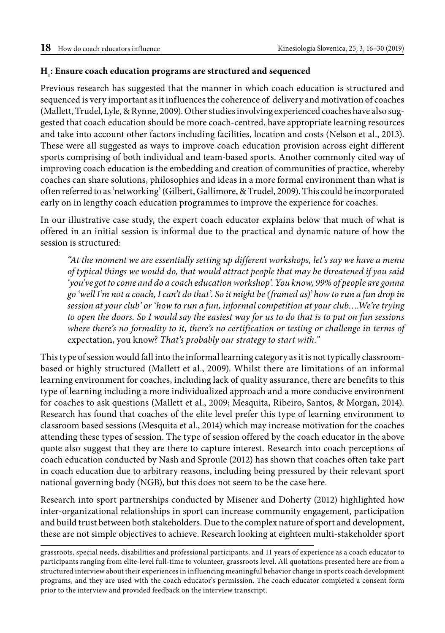## **H1 : Ensure coach education programs are structured and sequenced**

Previous research has suggested that the manner in which coach education is structured and sequenced is very important as it influences the coherence of delivery and motivation of coaches (Mallett, Trudel, Lyle, & Rynne, 2009). Other studies involving experienced coaches have also suggested that coach education should be more coach-centred, have appropriate learning resources and take into account other factors including facilities, location and costs (Nelson et al., 2013). These were all suggested as ways to improve coach education provision across eight different sports comprising of both individual and team-based sports. Another commonly cited way of improving coach education is the embedding and creation of communities of practice, whereby coaches can share solutions, philosophies and ideas in a more formal environment than what is often referred to as 'networking' (Gilbert, Gallimore, & Trudel, 2009). This could be incorporated early on in lengthy coach education programmes to improve the experience for coaches.

In our illustrative case study, the expert coach educator explains below that much of what is offered in an initial session is informal due to the practical and dynamic nature of how the session is structured:

*"At the moment we are essentially setting up different workshops, let's say we have a menu of typical things we would do, that would attract people that may be threatened if you said 'you've got to come and do a coach education workshop'. You know, 99% of people are gonna go 'well I'm not a coach, I can't do that'. So it might be (framed as)' how to run a fun drop in session at your club' or 'how to run a fun, informal competition at your club….We're trying to open the doors. So I would say the easiest way for us to do that is to put on fun sessions where there's no formality to it, there's no certification or testing or challenge in terms of*  expectation, you know? *That's probably our strategy to start with."*

This type of session would fall into the informal learning category as it is not typically classroombased or highly structured (Mallett et al., 2009). Whilst there are limitations of an informal learning environment for coaches, including lack of quality assurance, there are benefits to this type of learning including a more individualized approach and a more conducive environment for coaches to ask questions (Mallett et al., 2009; Mesquita, Ribeiro, Santos, & Morgan, 2014). Research has found that coaches of the elite level prefer this type of learning environment to classroom based sessions (Mesquita et al., 2014) which may increase motivation for the coaches attending these types of session. The type of session offered by the coach educator in the above quote also suggest that they are there to capture interest. Research into coach perceptions of coach education conducted by Nash and Sproule (2012) has shown that coaches often take part in coach education due to arbitrary reasons, including being pressured by their relevant sport national governing body (NGB), but this does not seem to be the case here.

Research into sport partnerships conducted by Misener and Doherty (2012) highlighted how inter-organizational relationships in sport can increase community engagement, participation and build trust between both stakeholders. Due to the complex nature of sport and development, these are not simple objectives to achieve. Research looking at eighteen multi-stakeholder sport

grassroots, special needs, disabilities and professional participants, and 11 years of experience as a coach educator to participants ranging from elite-level full-time to volunteer, grassroots level. All quotations presented here are from a structured interview about their experiences in influencing meaningful behavior change in sports coach development programs, and they are used with the coach educator's permission. The coach educator completed a consent form prior to the interview and provided feedback on the interview transcript.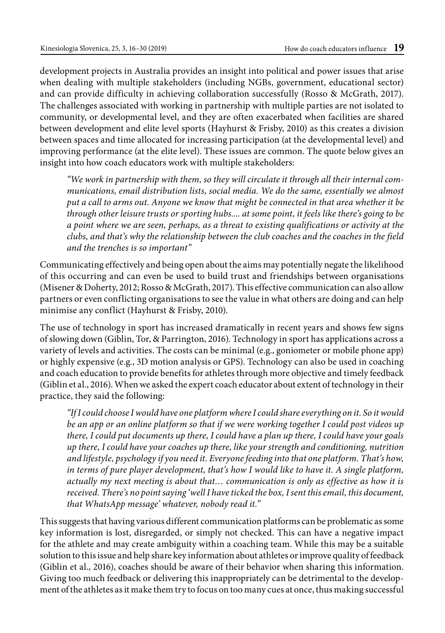development projects in Australia provides an insight into political and power issues that arise when dealing with multiple stakeholders (including NGBs, government, educational sector) and can provide difficulty in achieving collaboration successfully (Rosso & McGrath, 2017). The challenges associated with working in partnership with multiple parties are not isolated to community, or developmental level, and they are often exacerbated when facilities are shared between development and elite level sports (Hayhurst & Frisby, 2010) as this creates a division between spaces and time allocated for increasing participation (at the developmental level) and improving performance (at the elite level). These issues are common. The quote below gives an insight into how coach educators work with multiple stakeholders:

*"We work in partnership with them, so they will circulate it through all their internal communications, email distribution lists, social media. We do the same, essentially we almost put a call to arms out. Anyone we know that might be connected in that area whether it be through other leisure trusts or sporting hubs.... at some point, it feels like there's going to be a point where we are seen, perhaps, as a threat to existing qualifications or activity at the clubs, and that's why the relationship between the club coaches and the coaches in the field and the trenches is so important"*

Communicating effectively and being open about the aims may potentially negate the likelihood of this occurring and can even be used to build trust and friendships between organisations (Misener & Doherty, 2012; Rosso & McGrath, 2017). This effective communication can also allow partners or even conflicting organisations to see the value in what others are doing and can help minimise any conflict (Hayhurst & Frisby, 2010).

The use of technology in sport has increased dramatically in recent years and shows few signs of slowing down (Giblin, Tor, & Parrington, 2016). Technology in sport has applications across a variety of levels and activities. The costs can be minimal (e.g., goniometer or mobile phone app) or highly expensive (e.g., 3D motion analysis or GPS). Technology can also be used in coaching and coach education to provide benefits for athletes through more objective and timely feedback (Giblin et al., 2016). When we asked the expert coach educator about extent of technology in their practice, they said the following:

*"If I could choose I would have one platform where I could share everything on it. So it would*  be an app or an online platform so that if we were working together I could post videos up *there, I could put documents up there, I could have a plan up there, I could have your goals up there, I could have your coaches up there, like your strength and conditioning, nutrition and lifestyle, psychology if you need it. Everyone feeding into that one platform. That's how, in terms of pure player development, that's how I would like to have it. A single platform, actually my next meeting is about that… communication is only as effective as how it is received. There's no point saying 'well I have ticked the box, I sent this email, this document, that WhatsApp message' whatever, nobody read it."* 

This suggests that having various different communication platforms can be problematic as some key information is lost, disregarded, or simply not checked. This can have a negative impact for the athlete and may create ambiguity within a coaching team. While this may be a suitable solution to this issue and help share key information about athletes or improve quality of feedback (Giblin et al., 2016), coaches should be aware of their behavior when sharing this information. Giving too much feedback or delivering this inappropriately can be detrimental to the development of the athletes as it make them try to focus on too many cues at once, thus making successful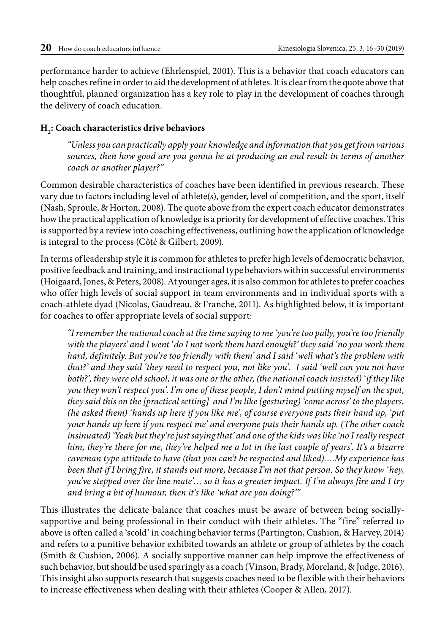performance harder to achieve (Ehrlenspiel, 2001). This is a behavior that coach educators can help coaches refine in order to aid the development of athletes. It is clear from the quote above that thoughtful, planned organization has a key role to play in the development of coaches through the delivery of coach education.

## **H2 : Coach characteristics drive behaviors**

*"Unless you can practically apply your knowledge and information that you get from various sources, then how good are you gonna be at producing an end result in terms of another coach or another player?"*

Common desirable characteristics of coaches have been identified in previous research. These vary due to factors including level of athlete(s), gender, level of competition, and the sport, itself (Nash, Sproule, & Horton, 2008). The quote above from the expert coach educator demonstrates how the practical application of knowledge is a priority for development of effective coaches. This is supported by a review into coaching effectiveness, outlining how the application of knowledge is integral to the process (Côté & Gilbert, 2009).

In terms of leadership style it is common for athletes to prefer high levels of democratic behavior, positive feedback and training, and instructional type behaviors within successful environments (Hoigaard, Jones, & Peters, 2008). At younger ages, it is also common for athletes to prefer coaches who offer high levels of social support in team environments and in individual sports with a coach-athlete dyad (Nicolas, Gaudreau, & Franche, 2011). As highlighted below, it is important for coaches to offer appropriate levels of social support:

*"I remember the national coach at the time saying to me 'you're too pally, you're too friendly with the players' and I went 'do I not work them hard enough?' they said 'no you work them hard, definitely. But you're too friendly with them' and I said 'well what's the problem with that?' and they said 'they need to respect you, not like you'. I said 'well can you not have both?', they were old school, it was one or the other, (the national coach insisted) 'if they like you they won't respect you'. I'm one of these people, I don't mind putting myself on the spot, they said this on the [practical setting] and I'm like (gesturing) 'come across' to the players, (he asked them) 'hands up here if you like me', of course everyone puts their hand up, 'put your hands up here if you respect me' and everyone puts their hands up. (The other coach insinuated) 'Yeah but they're just saying that' and one of the kids was like 'no I really respect him, they're there for me, they've helped me a lot in the last couple of years'. It's a bizarre caveman type attitude to have (that you can't be respected and liked)….My experience has been that if I bring fire, it stands out more, because I'm not that person. So they know 'hey, you've stepped over the line mate'… so it has a greater impact. If I'm always fire and I try and bring a bit of humour, then it's like 'what are you doing?'"*

This illustrates the delicate balance that coaches must be aware of between being sociallysupportive and being professional in their conduct with their athletes. The "fire" referred to above is often called a 'scold' in coaching behavior terms (Partington, Cushion, & Harvey, 2014) and refers to a punitive behavior exhibited towards an athlete or group of athletes by the coach (Smith & Cushion, 2006). A socially supportive manner can help improve the effectiveness of such behavior, but should be used sparingly as a coach (Vinson, Brady, Moreland, & Judge, 2016). This insight also supports research that suggests coaches need to be flexible with their behaviors to increase effectiveness when dealing with their athletes (Cooper & Allen, 2017).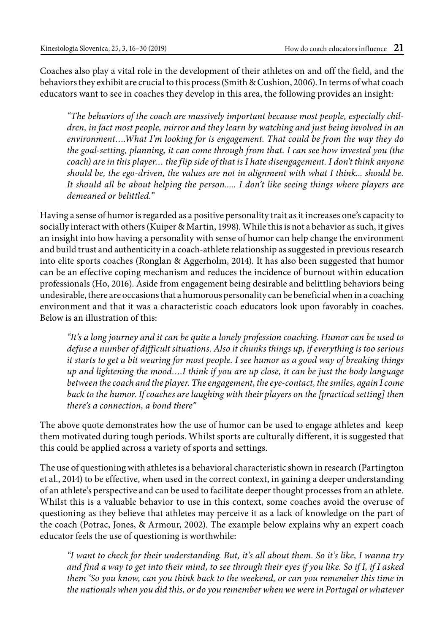Coaches also play a vital role in the development of their athletes on and off the field, and the behaviors they exhibit are crucial to this process (Smith & Cushion, 2006). In terms of what coach educators want to see in coaches they develop in this area, the following provides an insight:

*"The behaviors of the coach are massively important because most people, especially children, in fact most people, mirror and they learn by watching and just being involved in an environment….What I'm looking for is engagement. That could be from the way they do the goal-setting, planning, it can come through from that. I can see how invested you (the coach) are in this player… the flip side of that is I hate disengagement. I don't think anyone should be, the ego-driven, the values are not in alignment with what I think... should be. It should all be about helping the person..... I don't like seeing things where players are demeaned or belittled."*

Having a sense of humor is regarded as a positive personality trait as it increases one's capacity to socially interact with others (Kuiper & Martin, 1998). While this is not a behavior as such, it gives an insight into how having a personality with sense of humor can help change the environment and build trust and authenticity in a coach-athlete relationship as suggested in previous research into elite sports coaches (Ronglan & Aggerholm, 2014). It has also been suggested that humor can be an effective coping mechanism and reduces the incidence of burnout within education professionals (Ho, 2016). Aside from engagement being desirable and belittling behaviors being undesirable, there are occasions that a humorous personality can be beneficial when in a coaching environment and that it was a characteristic coach educators look upon favorably in coaches. Below is an illustration of this:

*"It's a long journey and it can be quite a lonely profession coaching. Humor can be used to defuse a number of difficult situations. Also it chunks things up, if everything is too serious it starts to get a bit wearing for most people. I see humor as a good way of breaking things up and lightening the mood….I think if you are up close, it can be just the body language between the coach and the player. The engagement, the eye-contact, the smiles, again I come*  back to the humor. If coaches are laughing with their players on the [practical setting] then *there's a connection, a bond there"*

The above quote demonstrates how the use of humor can be used to engage athletes and keep them motivated during tough periods. Whilst sports are culturally different, it is suggested that this could be applied across a variety of sports and settings.

The use of questioning with athletes is a behavioral characteristic shown in research (Partington et al., 2014) to be effective, when used in the correct context, in gaining a deeper understanding of an athlete's perspective and can be used to facilitate deeper thought processes from an athlete. Whilst this is a valuable behavior to use in this context, some coaches avoid the overuse of questioning as they believe that athletes may perceive it as a lack of knowledge on the part of the coach (Potrac, Jones, & Armour, 2002). The example below explains why an expert coach educator feels the use of questioning is worthwhile:

*"I want to check for their understanding. But, it's all about them. So it's like, I wanna try and find a way to get into their mind, to see through their eyes if you like. So if I, if I asked them 'So you know, can you think back to the weekend, or can you remember this time in the nationals when you did this, or do you remember when we were in Portugal or whatever*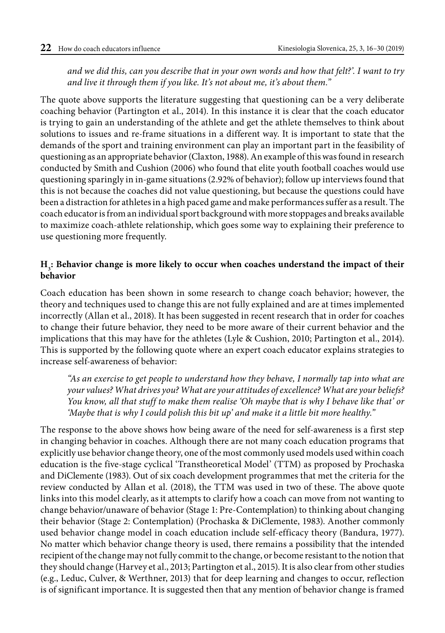*and we did this, can you describe that in your own words and how that felt?'. I want to try and live it through them if you like. It's not about me, it's about them."*

The quote above supports the literature suggesting that questioning can be a very deliberate coaching behavior (Partington et al., 2014). In this instance it is clear that the coach educator is trying to gain an understanding of the athlete and get the athlete themselves to think about solutions to issues and re-frame situations in a different way. It is important to state that the demands of the sport and training environment can play an important part in the feasibility of questioning as an appropriate behavior (Claxton, 1988). An example of this was found in research conducted by Smith and Cushion (2006) who found that elite youth football coaches would use questioning sparingly in in-game situations (2.92% of behavior); follow up interviews found that this is not because the coaches did not value questioning, but because the questions could have been a distraction for athletes in a high paced game and make performances suffer as a result. The coach educator is from an individual sport background with more stoppages and breaks available to maximize coach-athlete relationship, which goes some way to explaining their preference to use questioning more frequently.

#### **H3 : Behavior change is more likely to occur when coaches understand the impact of their behavior**

Coach education has been shown in some research to change coach behavior; however, the theory and techniques used to change this are not fully explained and are at times implemented incorrectly (Allan et al., 2018). It has been suggested in recent research that in order for coaches to change their future behavior, they need to be more aware of their current behavior and the implications that this may have for the athletes (Lyle & Cushion, 2010; Partington et al., 2014). This is supported by the following quote where an expert coach educator explains strategies to increase self-awareness of behavior:

*"As an exercise to get people to understand how they behave, I normally tap into what are your values? What drives you? What are your attitudes of excellence? What are your beliefs? You know, all that stuff to make them realise 'Oh maybe that is why I behave like that' or 'Maybe that is why I could polish this bit up' and make it a little bit more healthy."*

The response to the above shows how being aware of the need for self-awareness is a first step in changing behavior in coaches. Although there are not many coach education programs that explicitly use behavior change theory, one of the most commonly used models used within coach education is the five-stage cyclical 'Transtheoretical Model' (TTM) as proposed by Prochaska and DiClemente (1983). Out of six coach development programmes that met the criteria for the review conducted by Allan et al. (2018), the TTM was used in two of these. The above quote links into this model clearly, as it attempts to clarify how a coach can move from not wanting to change behavior/unaware of behavior (Stage 1: Pre-Contemplation) to thinking about changing their behavior (Stage 2: Contemplation) (Prochaska & DiClemente, 1983). Another commonly used behavior change model in coach education include self-efficacy theory (Bandura, 1977). No matter which behavior change theory is used, there remains a possibility that the intended recipient of the change may not fully commit to the change, or become resistant to the notion that they should change (Harvey et al., 2013; Partington et al., 2015). It is also clear from other studies (e.g., Leduc, Culver, & Werthner, 2013) that for deep learning and changes to occur, reflection is of significant importance. It is suggested then that any mention of behavior change is framed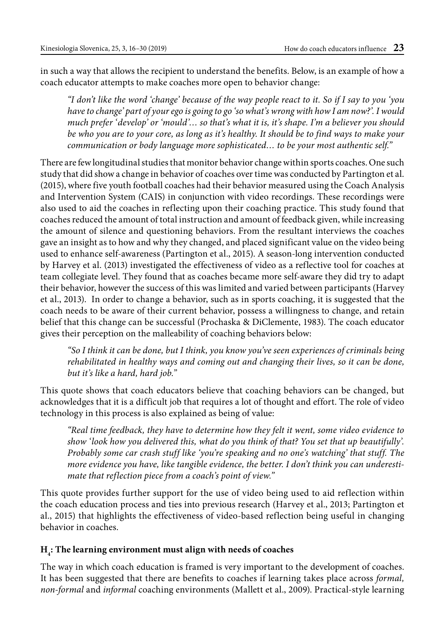in such a way that allows the recipient to understand the benefits. Below, is an example of how a coach educator attempts to make coaches more open to behavior change:

*"I don't like the word 'change' because of the way people react to it. So if I say to you 'you have to change' part of your ego is going to go 'so what's wrong with how I am now?'. I would much prefer 'develop' or 'mould'… so that's what it is, it's shape. I'm a believer you should be who you are to your core, as long as it's healthy. It should be to find ways to make your communication or body language more sophisticated… to be your most authentic self."*

There are few longitudinal studies that monitor behavior change within sports coaches. One such study that did show a change in behavior of coaches over time was conducted by Partington et al. (2015), where five youth football coaches had their behavior measured using the Coach Analysis and Intervention System (CAIS) in conjunction with video recordings. These recordings were also used to aid the coaches in reflecting upon their coaching practice. This study found that coaches reduced the amount of total instruction and amount of feedback given, while increasing the amount of silence and questioning behaviors. From the resultant interviews the coaches gave an insight as to how and why they changed, and placed significant value on the video being used to enhance self-awareness (Partington et al., 2015). A season-long intervention conducted by Harvey et al. (2013) investigated the effectiveness of video as a reflective tool for coaches at team collegiate level. They found that as coaches became more self-aware they did try to adapt their behavior, however the success of this was limited and varied between participants (Harvey et al., 2013). In order to change a behavior, such as in sports coaching, it is suggested that the coach needs to be aware of their current behavior, possess a willingness to change, and retain belief that this change can be successful (Prochaska & DiClemente, 1983). The coach educator gives their perception on the malleability of coaching behaviors below:

*"So I think it can be done, but I think, you know you've seen experiences of criminals being rehabilitated in healthy ways and coming out and changing their lives, so it can be done, but it's like a hard, hard job."*

This quote shows that coach educators believe that coaching behaviors can be changed, but acknowledges that it is a difficult job that requires a lot of thought and effort. The role of video technology in this process is also explained as being of value:

*"Real time feedback, they have to determine how they felt it went, some video evidence to show 'look how you delivered this, what do you think of that? You set that up beautifully'. Probably some car crash stuff like 'you're speaking and no one's watching' that stuff. The more evidence you have, like tangible evidence, the better. I don't think you can underestimate that reflection piece from a coach's point of view."*

This quote provides further support for the use of video being used to aid reflection within the coach education process and ties into previous research (Harvey et al., 2013; Partington et al., 2015) that highlights the effectiveness of video-based reflection being useful in changing behavior in coaches.

## **H4 : The learning environment must align with needs of coaches**

The way in which coach education is framed is very important to the development of coaches. It has been suggested that there are benefits to coaches if learning takes place across *formal, non-formal* and *informal* coaching environments (Mallett et al., 2009). Practical-style learning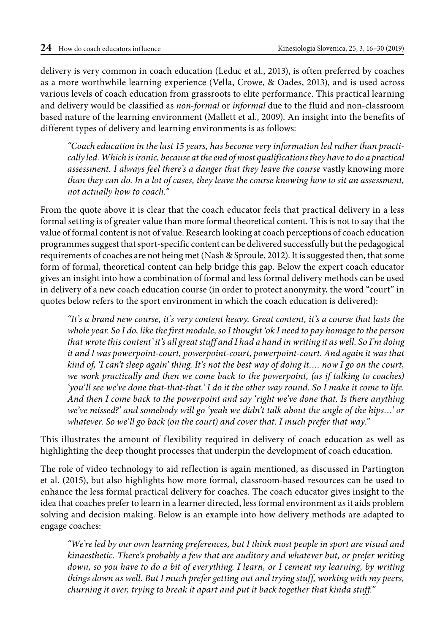delivery is very common in coach education (Leduc et al., 2013), is often preferred by coaches as a more worthwhile learning experience (Vella, Crowe, & Oades, 2013), and is used across various levels of coach education from grassroots to elite performance. This practical learning and delivery would be classified as *non-formal* or *informal* due to the fluid and non-classroom based nature of the learning environment (Mallett et al., 2009). An insight into the benefits of different types of delivery and learning environments is as follows:

*"Coach education in the last 15 years, has become very information led rather than practically led. Which is ironic, because at the end of most qualifications they have to do a practical assessment. I always feel there's a danger that they leave the course* vastly knowing more *than they can do. In a lot of cases, they leave the course knowing how to sit an assessment, not actually how to coach."*

From the quote above it is clear that the coach educator feels that practical delivery in a less formal setting is of greater value than more formal theoretical content. This is not to say that the value of formal content is not of value. Research looking at coach perceptions of coach education programmes suggest that sport-specific content can be delivered successfully but the pedagogical requirements of coaches are not being met (Nash & Sproule, 2012). It is suggested then, that some form of formal, theoretical content can help bridge this gap. Below the expert coach educator gives an insight into how a combination of formal and less formal delivery methods can be used in delivery of a new coach education course (in order to protect anonymity, the word "court" in quotes below refers to the sport environment in which the coach education is delivered):

*"It's a brand new course, it's very content heavy. Great content, it's a course that lasts the whole year. So I do, like the first module, so I thought 'ok I need to pay homage to the person that wrote this content' it's all great stuff and I had a hand in writing it as well. So I'm doing it and I was powerpoint-court, powerpoint-court, powerpoint-court. And again it was that kind of, 'I can't sleep again' thing. It's not the best way of doing it…. now I go on the court, we work practically and then we come back to the powerpoint, (as if talking to coaches) 'you'll see we've done that-that-that.' I do it the other way round. So I make it come to life. And then I come back to the powerpoint and say 'right we've done that. Is there anything we've missed?' and somebody will go 'yeah we didn't talk about the angle of the hips…' or whatever. So we'll go back (on the court) and cover that. I much prefer that way."*

This illustrates the amount of flexibility required in delivery of coach education as well as highlighting the deep thought processes that underpin the development of coach education.

The role of video technology to aid reflection is again mentioned, as discussed in Partington et al. (2015), but also highlights how more formal, classroom-based resources can be used to enhance the less formal practical delivery for coaches. The coach educator gives insight to the idea that coaches prefer to learn in a learner directed, less formal environment as it aids problem solving and decision making. Below is an example into how delivery methods are adapted to engage coaches:

*"We're led by our own learning preferences, but I think most people in sport are visual and kinaesthetic. There's probably a few that are auditory and whatever but, or prefer writing*  down, so you have to do a bit of everything. I learn, or I cement my learning, by writing *things down as well. But I much prefer getting out and trying stuff, working with my peers, churning it over, trying to break it apart and put it back together that kinda stuff."*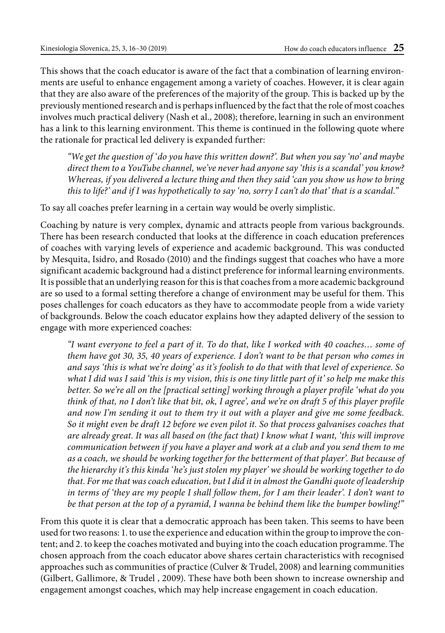This shows that the coach educator is aware of the fact that a combination of learning environments are useful to enhance engagement among a variety of coaches. However, it is clear again that they are also aware of the preferences of the majority of the group. This is backed up by the previously mentioned research and is perhaps influenced by the fact that the role of most coaches involves much practical delivery (Nash et al., 2008); therefore, learning in such an environment has a link to this learning environment. This theme is continued in the following quote where the rationale for practical led delivery is expanded further:

*"We get the question of 'do you have this written down?'. But when you say 'no' and maybe direct them to a YouTube channel, we've never had anyone say 'this is a scandal' you know? Whereas, if you delivered a lecture thing and then they said 'can you show us how to bring this to life?' and if I was hypothetically to say 'no, sorry I can't do that' that is a scandal."*

To say all coaches prefer learning in a certain way would be overly simplistic.

Coaching by nature is very complex, dynamic and attracts people from various backgrounds. There has been research conducted that looks at the difference in coach education preferences of coaches with varying levels of experience and academic background. This was conducted by Mesquita, Isidro, and Rosado (2010) and the findings suggest that coaches who have a more significant academic background had a distinct preference for informal learning environments. It is possible that an underlying reason for this is that coaches from a more academic background are so used to a formal setting therefore a change of environment may be useful for them. This poses challenges for coach educators as they have to accommodate people from a wide variety of backgrounds. Below the coach educator explains how they adapted delivery of the session to engage with more experienced coaches:

*"I want everyone to feel a part of it. To do that, like I worked with 40 coaches… some of them have got 30, 35, 40 years of experience. I don't want to be that person who comes in and says 'this is what we're doing' as it's foolish to do that with that level of experience. So what I did was I said 'this is my vision, this is one tiny little part of it' so help me make this better. So we're all on the [practical setting] working through a player profile 'what do you think of that, no I don't like that bit, ok, I agree', and we're on draft 5 of this player profile and now I'm sending it out to them try it out with a player and give me some feedback. So it might even be draft 12 before we even pilot it. So that process galvanises coaches that are already great. It was all based on (the fact that) I know what I want, 'this will improve communication between if you have a player and work at a club and you send them to me as a coach, we should be working together for the betterment of that player'. But because of the hierarchy it's this kinda 'he's just stolen my player' we should be working together to do that. For me that was coach education, but I did it in almost the Gandhi quote of leadership in terms of 'they are my people I shall follow them, for I am their leader'. I don't want to be that person at the top of a pyramid, I wanna be behind them like the bumper bowling!"* 

From this quote it is clear that a democratic approach has been taken. This seems to have been used for two reasons: 1. to use the experience and education within the group to improve the content; and 2. to keep the coaches motivated and buying into the coach education programme. The chosen approach from the coach educator above shares certain characteristics with recognised approaches such as communities of practice (Culver & Trudel, 2008) and learning communities (Gilbert, Gallimore, & Trudel , 2009). These have both been shown to increase ownership and engagement amongst coaches, which may help increase engagement in coach education.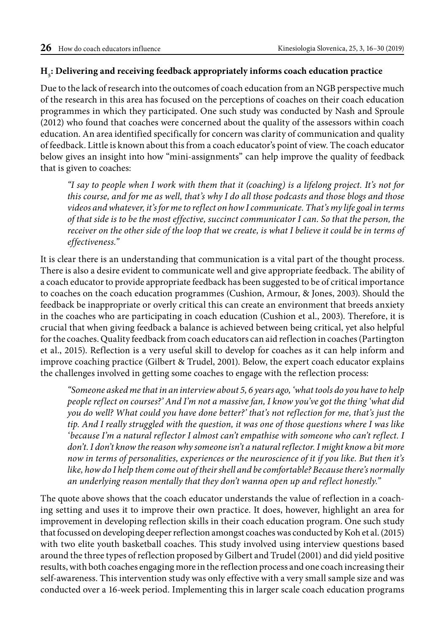## **H5 : Delivering and receiving feedback appropriately informs coach education practice**

Due to the lack of research into the outcomes of coach education from an NGB perspective much of the research in this area has focused on the perceptions of coaches on their coach education programmes in which they participated. One such study was conducted by Nash and Sproule (2012) who found that coaches were concerned about the quality of the assessors within coach education. An area identified specifically for concern was clarity of communication and quality of feedback. Little is known about this from a coach educator's point of view. The coach educator below gives an insight into how "mini-assignments" can help improve the quality of feedback that is given to coaches:

*"I say to people when I work with them that it (coaching) is a lifelong project. It's not for this course, and for me as well, that's why I do all those podcasts and those blogs and those videos and whatever, it's for me to reflect on how I communicate. That's my life goal in terms of that side is to be the most effective, succinct communicator I can. So that the person, the receiver on the other side of the loop that we create, is what I believe it could be in terms of effectiveness."*

It is clear there is an understanding that communication is a vital part of the thought process. There is also a desire evident to communicate well and give appropriate feedback. The ability of a coach educator to provide appropriate feedback has been suggested to be of critical importance to coaches on the coach education programmes (Cushion, Armour, & Jones, 2003). Should the feedback be inappropriate or overly critical this can create an environment that breeds anxiety in the coaches who are participating in coach education (Cushion et al., 2003). Therefore, it is crucial that when giving feedback a balance is achieved between being critical, yet also helpful for the coaches. Quality feedback from coach educators can aid reflection in coaches (Partington et al., 2015). Reflection is a very useful skill to develop for coaches as it can help inform and improve coaching practice (Gilbert & Trudel, 2001). Below, the expert coach educator explains the challenges involved in getting some coaches to engage with the reflection process:

*"Someone asked me that in an interview about 5, 6 years ago, 'what tools do you have to help people reflect on courses?' And I'm not a massive fan, I know you've got the thing 'what did you do well? What could you have done better?' that's not reflection for me, that's just the tip. And I really struggled with the question, it was one of those questions where I was like 'because I'm a natural reflector I almost can't empathise with someone who can't reflect. I don't. I don't know the reason why someone isn't a natural reflector. I might know a bit more now in terms of personalities, experiences or the neuroscience of it if you like. But then it's like, how do I help them come out of their shell and be comfortable? Because there's normally an underlying reason mentally that they don't wanna open up and reflect honestly."* 

The quote above shows that the coach educator understands the value of reflection in a coaching setting and uses it to improve their own practice. It does, however, highlight an area for improvement in developing reflection skills in their coach education program. One such study that focussed on developing deeper reflection amongst coaches was conducted by Koh et al. (2015) with two elite youth basketball coaches. This study involved using interview questions based around the three types of reflection proposed by Gilbert and Trudel (2001) and did yield positive results, with both coaches engaging more in the reflection process and one coach increasing their self-awareness. This intervention study was only effective with a very small sample size and was conducted over a 16-week period. Implementing this in larger scale coach education programs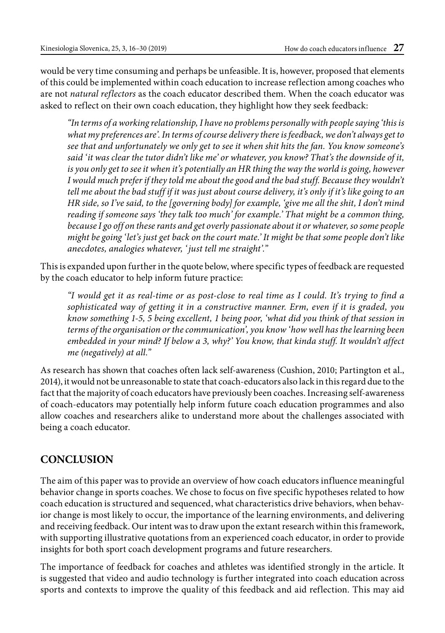would be very time consuming and perhaps be unfeasible. It is, however, proposed that elements of this could be implemented within coach education to increase reflection among coaches who are not *natural reflectors* as the coach educator described them. When the coach educator was asked to reflect on their own coach education, they highlight how they seek feedback:

*"In terms of a working relationship, I have no problems personally with people saying 'this is what my preferences are'. In terms of course delivery there is feedback, we don't always get to see that and unfortunately we only get to see it when shit hits the fan. You know someone's said 'it was clear the tutor didn't like me' or whatever, you know? That's the downside of it, is you only get to see it when it's potentially an HR thing the way the world is going, however*  I would much prefer if they told me about the good and the bad stuff. Because they wouldn't *tell me about the bad stuff if it was just about course delivery, it's only if it's like going to an HR side, so I've said, to the [governing body] for example, 'give me all the shit, I don't mind reading if someone says 'they talk too much' for example.' That might be a common thing, because I go off on these rants and get overly passionate about it or whatever, so some people might be going 'let's just get back on the court mate.' It might be that some people don't like anecdotes, analogies whatever, ' just tell me straight'."*

This is expanded upon further in the quote below, where specific types of feedback are requested by the coach educator to help inform future practice:

*"I would get it as real-time or as post-close to real time as I could. It's trying to find a sophisticated way of getting it in a constructive manner. Erm, even if it is graded, you know something 1-5, 5 being excellent, 1 being poor, 'what did you think of that session in terms of the organisation or the communication', you know 'how well has the learning been embedded in your mind? If below a 3, why?' You know, that kinda stuff. It wouldn't affect me (negatively) at all."*

As research has shown that coaches often lack self-awareness (Cushion, 2010; Partington et al., 2014), it would not be unreasonable to state that coach-educators also lack in this regard due to the fact that the majority of coach educators have previously been coaches. Increasing self-awareness of coach-educators may potentially help inform future coach education programmes and also allow coaches and researchers alike to understand more about the challenges associated with being a coach educator.

#### **CONCLUSION**

The aim of this paper was to provide an overview of how coach educators influence meaningful behavior change in sports coaches. We chose to focus on five specific hypotheses related to how coach education is structured and sequenced, what characteristics drive behaviors, when behavior change is most likely to occur, the importance of the learning environments, and delivering and receiving feedback. Our intent was to draw upon the extant research within this framework, with supporting illustrative quotations from an experienced coach educator, in order to provide insights for both sport coach development programs and future researchers.

The importance of feedback for coaches and athletes was identified strongly in the article. It is suggested that video and audio technology is further integrated into coach education across sports and contexts to improve the quality of this feedback and aid reflection. This may aid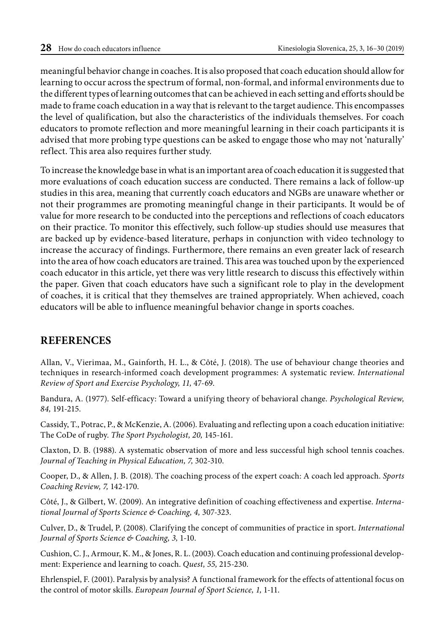meaningful behavior change in coaches. It is also proposed that coach education should allow for learning to occur across the spectrum of formal, non-formal, and informal environments due to the different types of learning outcomes that can be achieved in each setting and efforts should be made to frame coach education in a way that is relevant to the target audience. This encompasses the level of qualification, but also the characteristics of the individuals themselves. For coach educators to promote reflection and more meaningful learning in their coach participants it is advised that more probing type questions can be asked to engage those who may not 'naturally' reflect. This area also requires further study.

To increase the knowledge base in what is an important area of coach education it is suggested that more evaluations of coach education success are conducted. There remains a lack of follow-up studies in this area, meaning that currently coach educators and NGBs are unaware whether or not their programmes are promoting meaningful change in their participants. It would be of value for more research to be conducted into the perceptions and reflections of coach educators on their practice. To monitor this effectively, such follow-up studies should use measures that are backed up by evidence-based literature, perhaps in conjunction with video technology to increase the accuracy of findings. Furthermore, there remains an even greater lack of research into the area of how coach educators are trained. This area was touched upon by the experienced coach educator in this article, yet there was very little research to discuss this effectively within the paper. Given that coach educators have such a significant role to play in the development of coaches, it is critical that they themselves are trained appropriately. When achieved, coach educators will be able to influence meaningful behavior change in sports coaches.

#### **REFERENCES**

Allan, V., Vierimaa, M., Gainforth, H. L., & Côté, J. (2018). The use of behaviour change theories and techniques in research-informed coach development programmes: A systematic review. *International Review of Sport and Exercise Psychology, 11,* 47-69.

Bandura, A. (1977). Self-efficacy: Toward a unifying theory of behavioral change. *Psychological Review, 84,* 191-215.

Cassidy, T., Potrac, P., & McKenzie, A. (2006). Evaluating and reflecting upon a coach education initiative: The CoDe of rugby. *The Sport Psychologist, 20,* 145-161.

Claxton, D. B. (1988). A systematic observation of more and less successful high school tennis coaches. *Journal of Teaching in Physical Education, 7,* 302-310.

Cooper, D., & Allen, J. B. (2018). The coaching process of the expert coach: A coach led approach. *Sports Coaching Review, 7,* 142-170.

Côté, J., & Gilbert, W. (2009). An integrative definition of coaching effectiveness and expertise. *International Journal of Sports Science & Coaching, 4,* 307-323.

Culver, D., & Trudel, P. (2008). Clarifying the concept of communities of practice in sport. *International Journal of Sports Science & Coaching, 3,* 1-10.

Cushion, C. J., Armour, K. M., & Jones, R. L. (2003). Coach education and continuing professional development: Experience and learning to coach. *Quest, 55,* 215-230.

Ehrlenspiel, F. (2001). Paralysis by analysis? A functional framework for the effects of attentional focus on the control of motor skills. *European Journal of Sport Science, 1,* 1-11.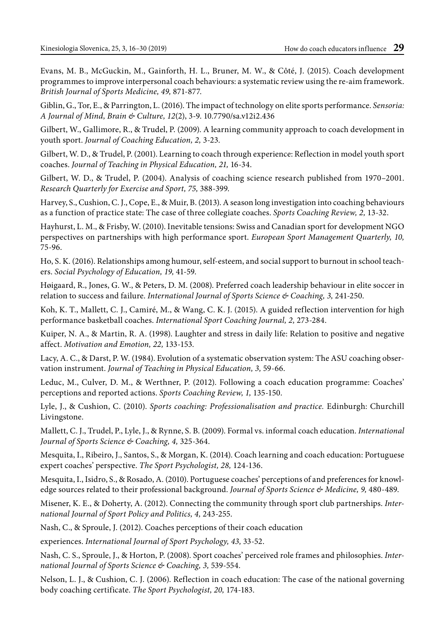Evans, M. B., McGuckin, M., Gainforth, H. L., Bruner, M. W., & Côté, J. (2015). Coach development programmes to improve interpersonal coach behaviours: a systematic review using the re-aim framework. *British Journal of Sports Medicine, 49,* 871-877.

Giblin, G., Tor, E., & Parrington, L. (2016). The impact of technology on elite sports performance. *Sensoria: A Journal of Mind, Brain & Culture, 12*(2), 3-9. 10.7790/sa.v12i2.436

Gilbert, W., Gallimore, R., & Trudel, P. (2009). A learning community approach to coach development in youth sport. *Journal of Coaching Education, 2,* 3-23.

Gilbert, W. D., & Trudel, P. (2001). Learning to coach through experience: Reflection in model youth sport coaches. *Journal of Teaching in Physical Education, 21,* 16-34.

Gilbert, W. D., & Trudel, P. (2004). Analysis of coaching science research published from 1970–2001. *Research Quarterly for Exercise and Sport, 75,* 388-399.

Harvey, S., Cushion, C. J., Cope, E., & Muir, B. (2013). A season long investigation into coaching behaviours as a function of practice state: The case of three collegiate coaches. *Sports Coaching Review, 2,* 13-32.

Hayhurst, L. M., & Frisby, W. (2010). Inevitable tensions: Swiss and Canadian sport for development NGO perspectives on partnerships with high performance sport. *European Sport Management Quarterly, 10,* 75-96.

Ho, S. K. (2016). Relationships among humour, self-esteem, and social support to burnout in school teachers. *Social Psychology of Education, 19,* 41-59.

Høigaard, R., Jones, G. W., & Peters, D. M. (2008). Preferred coach leadership behaviour in elite soccer in relation to success and failure. *International Journal of Sports Science & Coaching, 3,* 241-250.

Koh, K. T., Mallett, C. J., Camiré, M., & Wang, C. K. J. (2015). A guided reflection intervention for high performance basketball coaches. *International Sport Coaching Journal, 2,* 273-284.

Kuiper, N. A., & Martin, R. A. (1998). Laughter and stress in daily life: Relation to positive and negative affect. *Motivation and Emotion, 22,* 133-153.

Lacy, A. C., & Darst, P. W. (1984). Evolution of a systematic observation system: The ASU coaching observation instrument. *Journal of Teaching in Physical Education, 3,* 59-66.

Leduc, M., Culver, D. M., & Werthner, P. (2012). Following a coach education programme: Coaches' perceptions and reported actions. *Sports Coaching Review, 1,* 135-150.

Lyle, J., & Cushion, C. (2010). *Sports coaching: Professionalisation and practice.* Edinburgh: Churchill Livingstone.

Mallett, C. J., Trudel, P., Lyle, J., & Rynne, S. B. (2009). Formal vs. informal coach education. *International Journal of Sports Science & Coaching, 4,* 325-364.

Mesquita, I., Ribeiro, J., Santos, S., & Morgan, K. (2014). Coach learning and coach education: Portuguese expert coaches' perspective. *The Sport Psychologist, 28,* 124-136.

Mesquita, I., Isidro, S., & Rosado, A. (2010). Portuguese coaches' perceptions of and preferences for knowledge sources related to their professional background. *Journal of Sports Science & Medicine, 9,* 480-489.

Misener, K. E., & Doherty, A. (2012). Connecting the community through sport club partnerships. *International Journal of Sport Policy and Politics, 4,* 243-255.

Nash, C., & Sproule, J. (2012). Coaches perceptions of their coach education

experiences. *International Journal of Sport Psychology, 43,* 33-52.

Nash, C. S., Sproule, J., & Horton, P. (2008). Sport coaches' perceived role frames and philosophies. *International Journal of Sports Science & Coaching, 3,* 539-554.

Nelson, L. J., & Cushion, C. J. (2006). Reflection in coach education: The case of the national governing body coaching certificate. *The Sport Psychologist, 20,* 174-183.